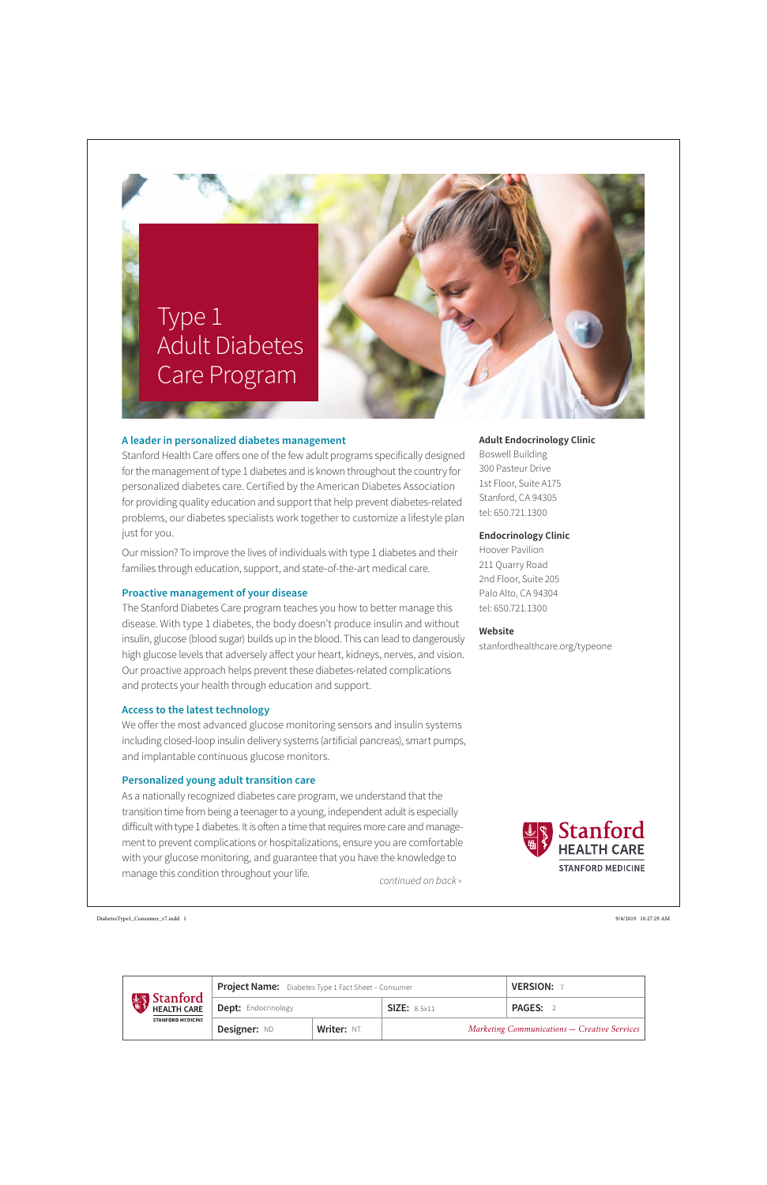# **Adult Endocrinology Clinic**

Boswell Building 300 Pasteur Drive 1st Floor, Suite A175 Stanford, CA 94305 tel: 650.721.1300

### **Endocrinology Clinic**

Hoover Pavilion 211 Quarry Road 2nd Floor, Suite 205 Palo Alto, CA 94304 tel: 650.721.1300

## **Website**

stanfordhealthcare.org/typeone



## **A leader in personalized diabetes management**

Stanford Health Care offers one of the few adult programs specifically designed for the management of type 1 diabetes and is known throughout the country for personalized diabetes care. Certified by the American Diabetes Association for providing quality education and support that help prevent diabetes-related problems, our diabetes specialists work together to customize a lifestyle plan just for you.

Our mission? To improve the lives of individuals with type 1 diabetes and their families through education, support, and state-of-the-art medical care.

### **Proactive management of your disease**

*continued on back »* As a nationally recognized diabetes care program, we understand that the transition time from being a teenager to a young, independent adult is especially difficult with type 1 diabetes. It is often a time that requires more care and management to prevent complications or hospitalizations, ensure you are comfortable with your glucose monitoring, and guarantee that you have the knowledge to manage this condition throughout your life.

The Stanford Diabetes Care program teaches you how to better manage this disease. With type 1 diabetes, the body doesn't produce insulin and without insulin, glucose (blood sugar) builds up in the blood. This can lead to dangerously high glucose levels that adversely affect your heart, kidneys, nerves, and vision. Our proactive approach helps prevent these diabetes-related complications and protects your health through education and support.

## **Access to the latest technology**

We offer the most advanced glucose monitoring sensors and insulin systems including closed-loop insulin delivery systems (artificial pancreas), smart pumps, and implantable continuous glucose monitors.

### **Personalized young adult transition care**



| <b>Stanford</b><br><b>HEALTH CARE</b><br><b>STANFORD MEDICINE</b> | <b>Project Name:</b> Diabetes Type 1 Fact Sheet - Consumer |                   |                                                     | <b>VERSION:</b> |
|-------------------------------------------------------------------|------------------------------------------------------------|-------------------|-----------------------------------------------------|-----------------|
|                                                                   | <b>Dept:</b> Endocrinology                                 |                   | SIZE: 8.5x11                                        | <b>PAGES:</b>   |
|                                                                   | Designer: ND                                               | <b>Writer: NT</b> | <b>Marketing Communications - Creative Services</b> |                 |

DiabetesType1\_Consumer\_v7.indd 1 9/4/2019 10:27:29 AM